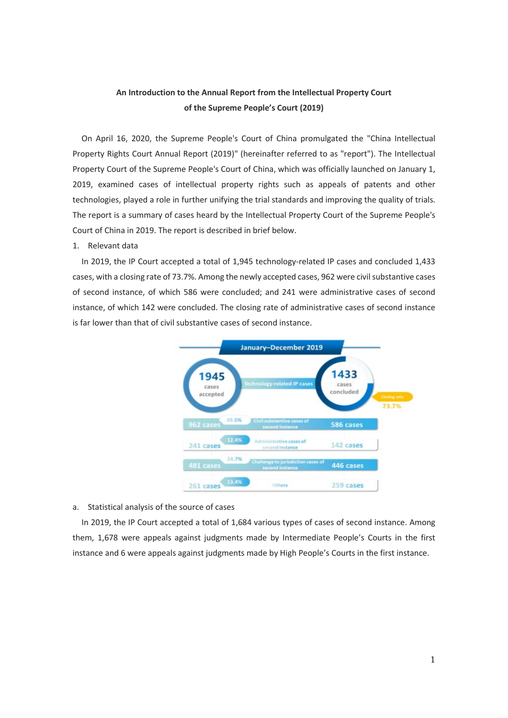# **An Introduction to the Annual Report from the Intellectual Property Court of the Supreme People's Court (2019)**

On April 16, 2020, the Supreme People's Court of China promulgated the "China Intellectual Property Rights Court Annual Report (2019)" (hereinafter referred to as "report"). The Intellectual Property Court of the Supreme People's Court of China, which was officially launched on January 1, 2019, examined cases of intellectual property rights such as appeals of patents and other technologies, played a role in further unifying the trial standards and improving the quality of trials. The report is a summary of cases heard by the Intellectual Property Court of the Supreme People's Court of China in 2019. The report is described in brief below.

#### 1. Relevant data

In 2019, the IP Court accepted a total of 1,945 technology-related IP cases and concluded 1,433 cases, with a closing rate of 73.7%. Among the newly accepted cases, 962 were civil substantive cases of second instance, of which 586 were concluded; and 241 were administrative cases of second instance, of which 142 were concluded. The closing rate of administrative cases of second instance is far lower than that of civil substantive cases of second instance.



### a. Statistical analysis of the source of cases

In 2019, the IP Court accepted a total of 1,684 various types of cases of second instance. Among them, 1,678 were appeals against judgments made by Intermediate People's Courts in the first instance and 6 were appeals against judgments made by High People's Courts in the first instance.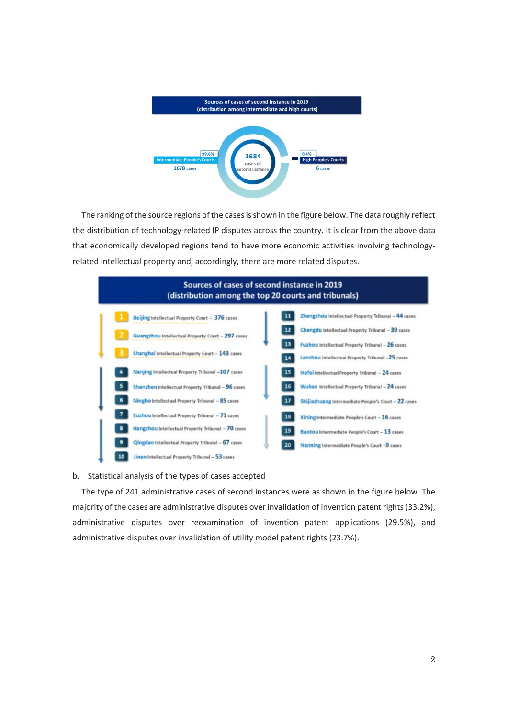

The ranking of the source regions of the cases is shown in the figure below. The data roughly reflect the distribution of technology-related IP disputes across the country. It is clear from the above data that economically developed regions tend to have more economic activities involving technologyrelated intellectual property and, accordingly, there are more related disputes.



#### b. Statistical analysis of the types of cases accepted

The type of 241 administrative cases of second instances were as shown in the figure below. The majority of the cases are administrative disputes over invalidation of invention patent rights (33.2%), administrative disputes over reexamination of invention patent applications (29.5%), and administrative disputes over invalidation of utility model patent rights (23.7%).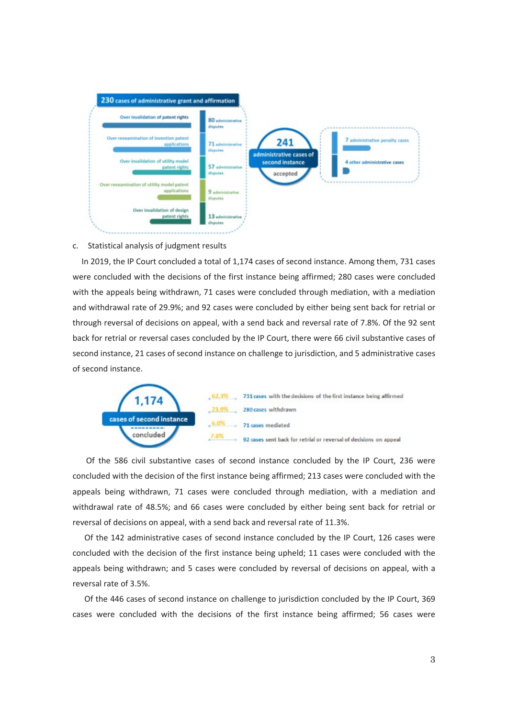

## c. Statistical analysis of judgment results

In 2019, the IP Court concluded a total of 1,174 cases of second instance. Among them, 731 cases were concluded with the decisions of the first instance being affirmed; 280 cases were concluded with the appeals being withdrawn, 71 cases were concluded through mediation, with a mediation and withdrawal rate of 29.9%; and 92 cases were concluded by either being sent back for retrial or through reversal of decisions on appeal, with a send back and reversal rate of 7.8%. Of the 92 sent back for retrial or reversal cases concluded by the IP Court, there were 66 civil substantive cases of second instance, 21 cases of second instance on challenge to jurisdiction, and 5 administrative cases of second instance.



 Of the 586 civil substantive cases of second instance concluded by the IP Court, 236 were concluded with the decision of the first instance being affirmed; 213 cases were concluded with the appeals being withdrawn, 71 cases were concluded through mediation, with a mediation and withdrawal rate of 48.5%; and 66 cases were concluded by either being sent back for retrial or reversal of decisions on appeal, with a send back and reversal rate of 11.3%.

 Of the 142 administrative cases of second instance concluded by the IP Court, 126 cases were concluded with the decision of the first instance being upheld; 11 cases were concluded with the appeals being withdrawn; and 5 cases were concluded by reversal of decisions on appeal, with a reversal rate of 3.5%.

 Of the 446 cases of second instance on challenge to jurisdiction concluded by the IP Court, 369 cases were concluded with the decisions of the first instance being affirmed; 56 cases were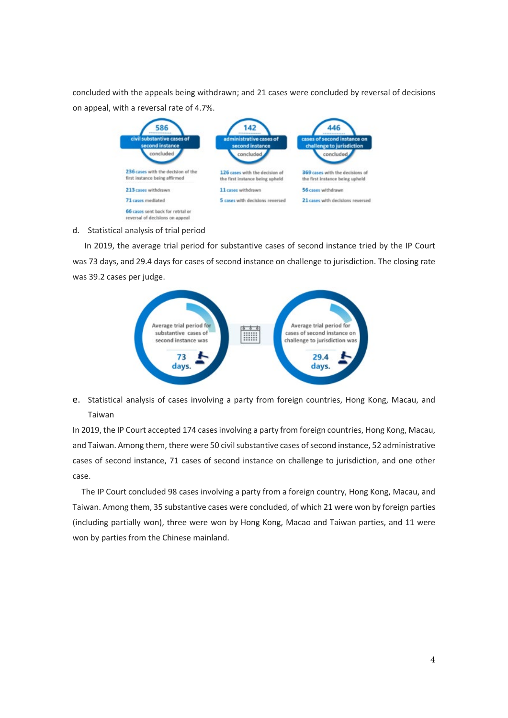concluded with the appeals being withdrawn; and 21 cases were concluded by reversal of decisions on appeal, with a reversal rate of 4.7%.



# d. Statistical analysis of trial period

 In 2019, the average trial period for substantive cases of second instance tried by the IP Court was 73 days, and 29.4 days for cases of second instance on challenge to jurisdiction. The closing rate was 39.2 cases per judge.



e. Statistical analysis of cases involving a party from foreign countries, Hong Kong, Macau, and Taiwan

In 2019, the IP Court accepted 174 cases involving a party from foreign countries, Hong Kong, Macau, and Taiwan. Among them, there were 50 civil substantive cases of second instance, 52 administrative cases of second instance, 71 cases of second instance on challenge to jurisdiction, and one other case.

The IP Court concluded 98 cases involving a party from a foreign country, Hong Kong, Macau, and Taiwan. Among them, 35 substantive cases were concluded, of which 21 were won by foreign parties (including partially won), three were won by Hong Kong, Macao and Taiwan parties, and 11 were won by parties from the Chinese mainland.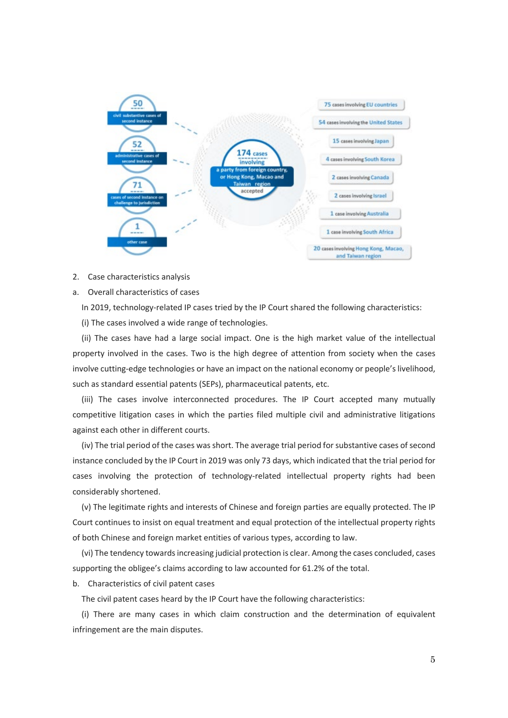

2. Case characteristics analysis

a. Overall characteristics of cases

In 2019, technology-related IP cases tried by the IP Court shared the following characteristics:

(i) The cases involved a wide range of technologies.

(ii) The cases have had a large social impact. One is the high market value of the intellectual property involved in the cases. Two is the high degree of attention from society when the cases involve cutting-edge technologies or have an impact on the national economy or people's livelihood, such as standard essential patents (SEPs), pharmaceutical patents, etc.

(iii) The cases involve interconnected procedures. The IP Court accepted many mutually competitive litigation cases in which the parties filed multiple civil and administrative litigations against each other in different courts.

(iv) The trial period of the cases was short. The average trial period for substantive cases of second instance concluded by the IP Court in 2019 was only 73 days, which indicated that the trial period for cases involving the protection of technology-related intellectual property rights had been considerably shortened.

(v) The legitimate rights and interests of Chinese and foreign parties are equally protected. The IP Court continues to insist on equal treatment and equal protection of the intellectual property rights of both Chinese and foreign market entities of various types, according to law.

(vi) The tendency towards increasing judicial protection is clear. Among the cases concluded, cases supporting the obligee's claims according to law accounted for 61.2% of the total.

b. Characteristics of civil patent cases

The civil patent cases heard by the IP Court have the following characteristics:

(i) There are many cases in which claim construction and the determination of equivalent infringement are the main disputes.